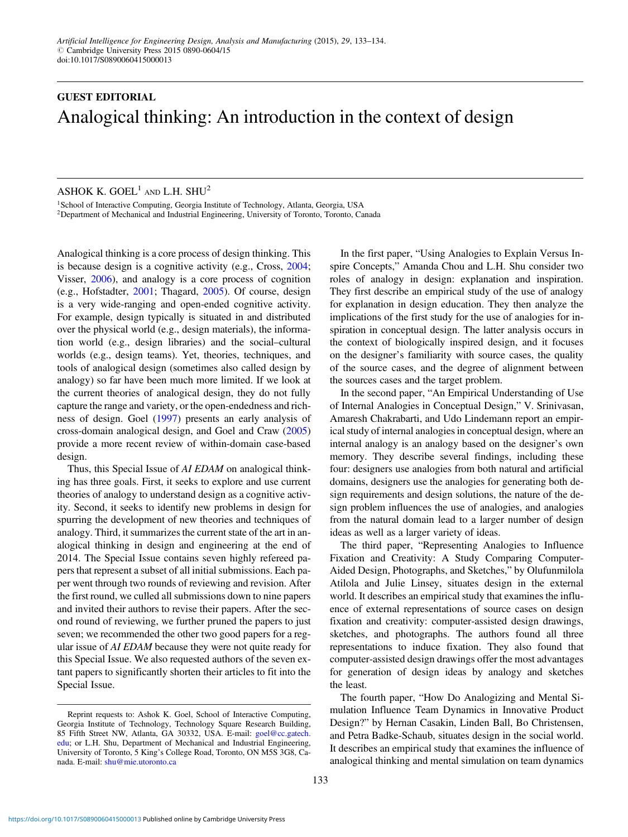## GUEST EDITORIAL Analogical thinking: An introduction in the context of design

## ASHOK K. GOEL<sup>1</sup> AND L.H. SHU<sup>2</sup>

<sup>1</sup> School of Interactive Computing, Georgia Institute of Technology, Atlanta, Georgia, USA

2Department of Mechanical and Industrial Engineering, University of Toronto, Toronto, Canada

Analogical thinking is a core process of design thinking. This is because design is a cognitive activity (e.g., Cross, [2004](#page-1-0); Visser, [2006\)](#page-1-0), and analogy is a core process of cognition (e.g., Hofstadter, [2001;](#page-1-0) Thagard, [2005\)](#page-1-0). Of course, design is a very wide-ranging and open-ended cognitive activity. For example, design typically is situated in and distributed over the physical world (e.g., design materials), the information world (e.g., design libraries) and the social–cultural worlds (e.g., design teams). Yet, theories, techniques, and tools of analogical design (sometimes also called design by analogy) so far have been much more limited. If we look at the current theories of analogical design, they do not fully capture the range and variety, or the open-endedness and richness of design. Goel ([1997\)](#page-1-0) presents an early analysis of cross-domain analogical design, and Goel and Craw ([2005\)](#page-1-0) provide a more recent review of within-domain case-based design.

Thus, this Special Issue of AI EDAM on analogical thinking has three goals. First, it seeks to explore and use current theories of analogy to understand design as a cognitive activity. Second, it seeks to identify new problems in design for spurring the development of new theories and techniques of analogy. Third, it summarizes the current state of the art in analogical thinking in design and engineering at the end of 2014. The Special Issue contains seven highly refereed papers that represent a subset of all initial submissions. Each paper went through two rounds of reviewing and revision. After the first round, we culled all submissions down to nine papers and invited their authors to revise their papers. After the second round of reviewing, we further pruned the papers to just seven; we recommended the other two good papers for a regular issue of AI EDAM because they were not quite ready for this Special Issue. We also requested authors of the seven extant papers to significantly shorten their articles to fit into the Special Issue.

In the first paper, "Using Analogies to Explain Versus Inspire Concepts," Amanda Chou and L.H. Shu consider two roles of analogy in design: explanation and inspiration. They first describe an empirical study of the use of analogy for explanation in design education. They then analyze the implications of the first study for the use of analogies for inspiration in conceptual design. The latter analysis occurs in the context of biologically inspired design, and it focuses on the designer's familiarity with source cases, the quality of the source cases, and the degree of alignment between the sources cases and the target problem.

In the second paper, "An Empirical Understanding of Use of Internal Analogies in Conceptual Design," V. Srinivasan, Amaresh Chakrabarti, and Udo Lindemann report an empirical study of internal analogies in conceptual design, where an internal analogy is an analogy based on the designer's own memory. They describe several findings, including these four: designers use analogies from both natural and artificial domains, designers use the analogies for generating both design requirements and design solutions, the nature of the design problem influences the use of analogies, and analogies from the natural domain lead to a larger number of design ideas as well as a larger variety of ideas.

The third paper, "Representing Analogies to Influence Fixation and Creativity: A Study Comparing Computer-Aided Design, Photographs, and Sketches," by Olufunmilola Atilola and Julie Linsey, situates design in the external world. It describes an empirical study that examines the influence of external representations of source cases on design fixation and creativity: computer-assisted design drawings, sketches, and photographs. The authors found all three representations to induce fixation. They also found that computer-assisted design drawings offer the most advantages for generation of design ideas by analogy and sketches the least.

The fourth paper, "How Do Analogizing and Mental Simulation Influence Team Dynamics in Innovative Product Design?" by Hernan Casakin, Linden Ball, Bo Christensen, and Petra Badke-Schaub, situates design in the social world. It describes an empirical study that examines the influence of analogical thinking and mental simulation on team dynamics

Reprint requests to: Ashok K. Goel, School of Interactive Computing, Georgia Institute of Technology, Technology Square Research Building, 85 Fifth Street NW, Atlanta, GA 30332, USA. E-mail: [goel@cc.gatech.](mailto:goel@cc.gatech.edu) [edu](mailto:goel@cc.gatech.edu); or L.H. Shu, Department of Mechanical and Industrial Engineering, University of Toronto, 5 King's College Road, Toronto, ON M5S 3G8, Canada. E-mail: [shu@mie.utoronto.ca](mailto:shu@mie.utoronto.ca)